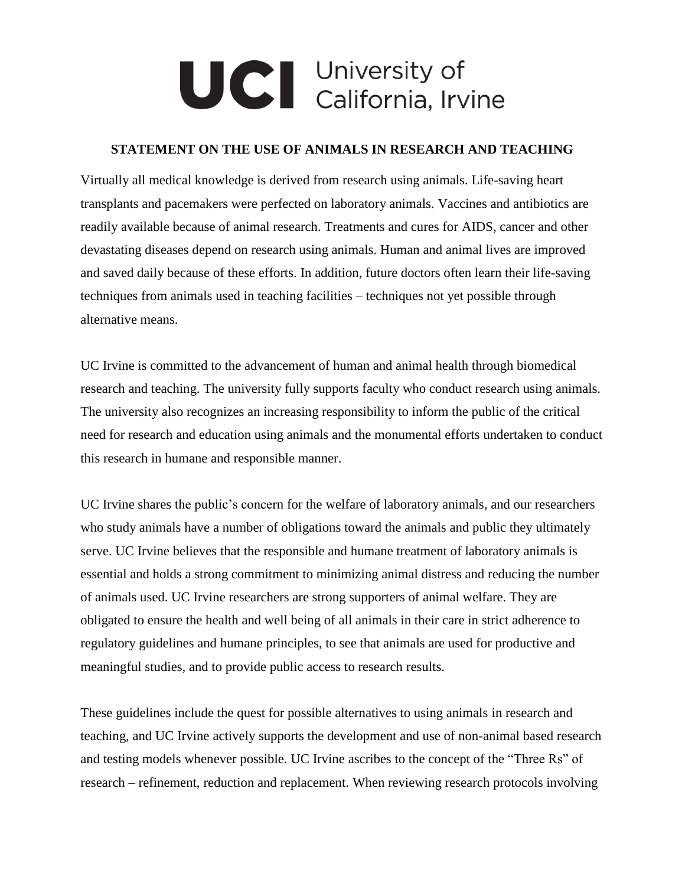## UCI University of<br>California, Irvine

## **STATEMENT ON THE USE OF ANIMALS IN RESEARCH AND TEACHING**

Virtually all medical knowledge is derived from research using animals. Life-saving heart transplants and pacemakers were perfected on laboratory animals. Vaccines and antibiotics are readily available because of animal research. Treatments and cures for AIDS, cancer and other devastating diseases depend on research using animals. Human and animal lives are improved and saved daily because of these efforts. In addition, future doctors often learn their life-saving techniques from animals used in teaching facilities – techniques not yet possible through alternative means.

UC Irvine is committed to the advancement of human and animal health through biomedical research and teaching. The university fully supports faculty who conduct research using animals. The university also recognizes an increasing responsibility to inform the public of the critical need for research and education using animals and the monumental efforts undertaken to conduct this research in humane and responsible manner.

UC Irvine shares the public's concern for the welfare of laboratory animals, and our researchers who study animals have a number of obligations toward the animals and public they ultimately serve. UC Irvine believes that the responsible and humane treatment of laboratory animals is essential and holds a strong commitment to minimizing animal distress and reducing the number of animals used. UC Irvine researchers are strong supporters of animal welfare. They are obligated to ensure the health and well being of all animals in their care in strict adherence to regulatory guidelines and humane principles, to see that animals are used for productive and meaningful studies, and to provide public access to research results.

These guidelines include the quest for possible alternatives to using animals in research and teaching, and UC Irvine actively supports the development and use of non-animal based research and testing models whenever possible. UC Irvine ascribes to the concept of the "Three Rs" of research – refinement, reduction and replacement. When reviewing research protocols involving